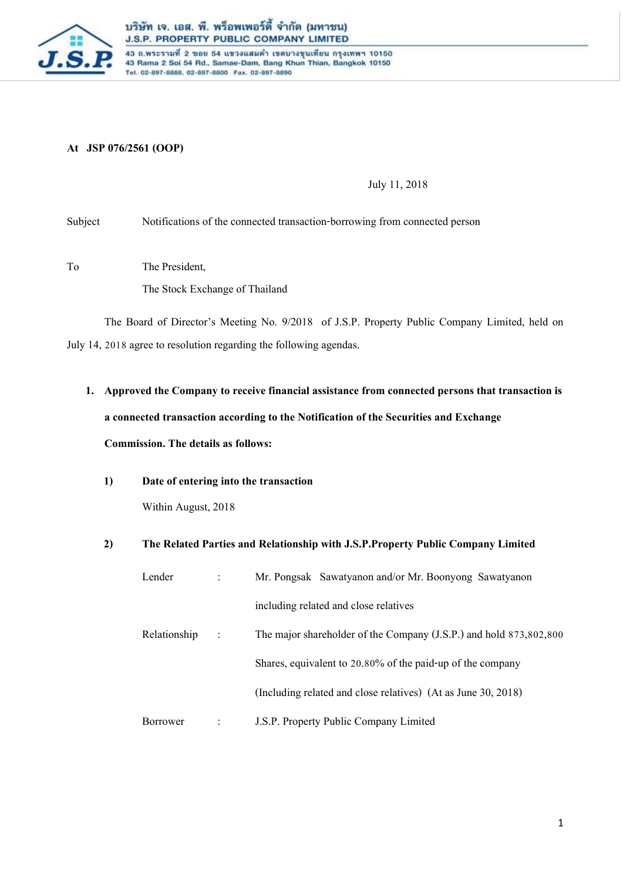

43 ถ.พระรามที่ 2 ชอย 54 แขวงแสมดำ เขตบางขุนเทียน กรุงเทพฯ 10150 43 Rama 2 Soi 54 Rd., Samae-Dam, Bang Khun Thian, Bangkok 10150 Tel. 02-897-8888, 02-897-8800 Fax. 02-897-8890

# **At JSP 076/2561 (OOP)**

July 11, 2018

Subject Notifications of the connected transaction-borrowing from connected person

To The President,

The Stock Exchange of Thailand

The Board of Director's Meeting No. 9/2018 of J.S.P. Property Public Company Limited, held on July 14, 2018 agree to resolution regarding the following agendas.

- **1. Approved the Company to receive financial assistance from connected persons that transaction is a connected transaction according to the Notification of the Securities and Exchange Commission. The details as follows:** 
	- **1) Date of entering into the transaction**

Within August, 2018

**2) The Related Parties and Relationship with J.S.P.Property Public Company Limited**

| Lender       |                | Mr. Pongsak Sawatyanon and/or Mr. Boonyong Sawatyanon              |
|--------------|----------------|--------------------------------------------------------------------|
|              |                | including related and close relatives                              |
| Relationship | $\ddot{\cdot}$ | The major shareholder of the Company (J.S.P.) and hold 873,802,800 |
|              |                | Shares, equivalent to 20.80% of the paid-up of the company         |
|              |                | (Including related and close relatives) (At as June 30, 2018)      |
| Borrower     |                | J.S.P. Property Public Company Limited                             |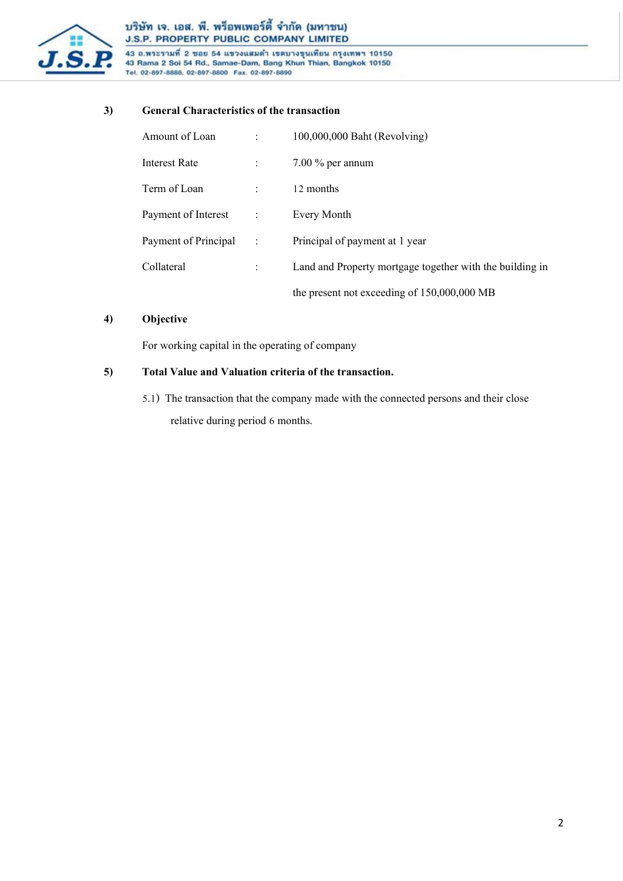

# บริษัท เจ. เอส. พี. พร็อพเพอร์ตี้ จำกัด (มหาชน) J.S.P. PROPERTY PUBLIC COMPANY LIMITED

-<br>43 ถ.พระรามที่ 2 ชอย 54 แขวงแสมดำ เขตบางขุนเทียน กรุงเทพฯ 10150<br>43 Rama 2 Soi 54 Rd., Samae-Dam, Bang Khun Thian, Bangkok 10150 Tel. 02-897-8888, 02-897-8800 Fax. 02-897-8890

### **3) General Characteristics of the transaction**

| Amount of Loan       |              | 100,000,000 Baht (Revolving)                             |
|----------------------|--------------|----------------------------------------------------------|
| Interest Rate        |              | $7.00\%$ per annum                                       |
| Term of Loan         |              | 12 months                                                |
| Payment of Interest  | $\mathbf{r}$ | Every Month                                              |
| Payment of Principal | $\sim$ 1.    | Principal of payment at 1 year                           |
| Collateral           |              | Land and Property mortgage together with the building in |
|                      |              | the present not exceeding of 150,000,000 MB              |

## **4) Objective**

For working capital in the operating of company

# **5) Total Value and Valuation criteria of the transaction.**

5.1) The transaction that the company made with the connected persons and their close relative during period 6 months.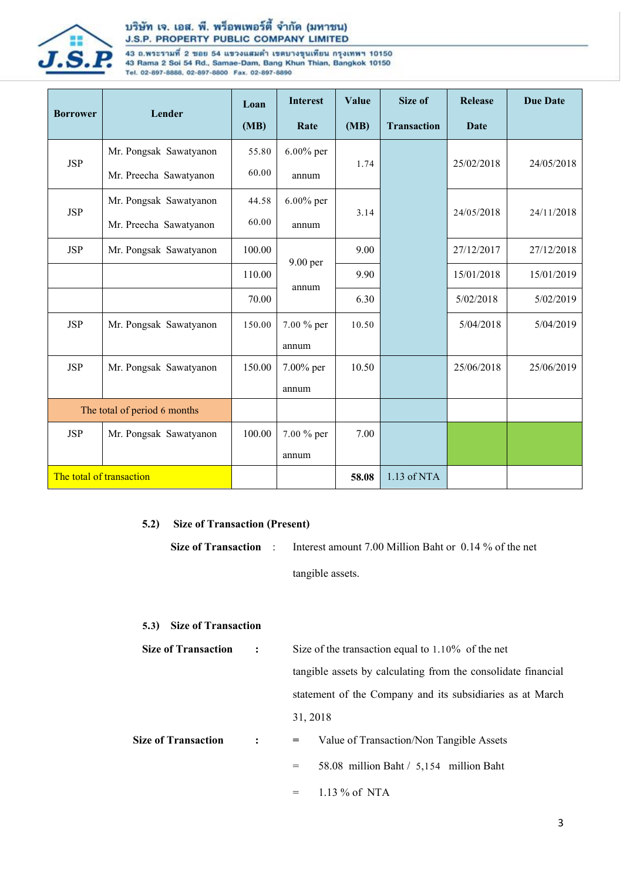

# บริษัท เจ. เอส. พี. พร็อพเพอร์ตี้ จำกัด (มหาชน) J.S.P. PROPERTY PUBLIC COMPANY LIMITED

43 ถ.พระรามที่ 2 ชอย 54 แขวงแสมดำ เขตบางขุนเทียน กรุงเทพฯ 10150<br>43 Rama 2 Soi 54 Rd., Samae-Dam, Bang Khun Thian, Bangkok 10150<br>Tel. 02-897-8888, 02-897-8800 Fax. 02-897-8890

| <b>Borrower</b>              | Lender                          | Loan   | <b>Interest</b> | Value | Size of            | Release     | <b>Due Date</b> |
|------------------------------|---------------------------------|--------|-----------------|-------|--------------------|-------------|-----------------|
|                              |                                 | (MB)   | Rate            | (MB)  | <b>Transaction</b> | <b>Date</b> |                 |
|                              | Mr. Pongsak Sawatyanon          | 55.80  | $6.00\%$ per    | 1.74  |                    |             |                 |
| <b>JSP</b>                   | Mr. Preecha Sawatyanon          | 60.00  | annum           |       |                    | 25/02/2018  | 24/05/2018      |
|                              | Mr. Pongsak Sawatyanon<br>44.58 |        | $6.00\%$ per    |       |                    |             | 24/11/2018      |
| <b>JSP</b>                   | Mr. Preecha Sawatyanon          | 60.00  | annum           | 3.14  | 24/05/2018         |             |                 |
| <b>JSP</b>                   | Mr. Pongsak Sawatyanon          | 100.00 |                 | 9.00  |                    | 27/12/2017  | 27/12/2018      |
|                              |                                 | 110.00 | 9.00 per        | 9.90  |                    | 15/01/2018  | 15/01/2019      |
|                              |                                 | 70.00  | annum           | 6.30  |                    | 5/02/2018   | 5/02/2019       |
| <b>JSP</b>                   | Mr. Pongsak Sawatyanon          | 150.00 | 7.00 % per      | 10.50 |                    | 5/04/2018   | 5/04/2019       |
|                              |                                 |        | annum           |       |                    |             |                 |
| <b>JSP</b>                   | Mr. Pongsak Sawatyanon          | 150.00 | 7.00% per       | 10.50 |                    | 25/06/2018  | 25/06/2019      |
|                              |                                 |        | annum           |       |                    |             |                 |
| The total of period 6 months |                                 |        |                 |       |                    |             |                 |
| <b>JSP</b>                   | Mr. Pongsak Sawatyanon          | 100.00 | 7.00 % per      | 7.00  |                    |             |                 |
|                              |                                 |        | annum           |       |                    |             |                 |
| The total of transaction     |                                 |        |                 | 58.08 | 1.13 of NTA        |             |                 |

# **5.2) Size of Transaction (Present)**

**Size of Transaction** : Interest amount 7.00 Million Baht or 0.14 % of the net tangible assets.

#### **5.3) Size of Transaction**

| <b>Size of Transaction</b> | $\ddot{\cdot}$ | Size of the transaction equal to $1.10\%$ of the net          |  |  |
|----------------------------|----------------|---------------------------------------------------------------|--|--|
|                            |                | tangible assets by calculating from the consolidate financial |  |  |
|                            |                | statement of the Company and its subsidiaries as at March     |  |  |
|                            |                | 31, 2018                                                      |  |  |
| <b>Size of Transaction</b> | $\ddot{\cdot}$ | Value of Transaction/Non Tangible Assets<br>$=$ $\qquad$      |  |  |
|                            |                | 58.08 million Baht $/$ 5,154 million Baht<br>$=$              |  |  |
|                            |                |                                                               |  |  |

 $=$  1.13 % of NTA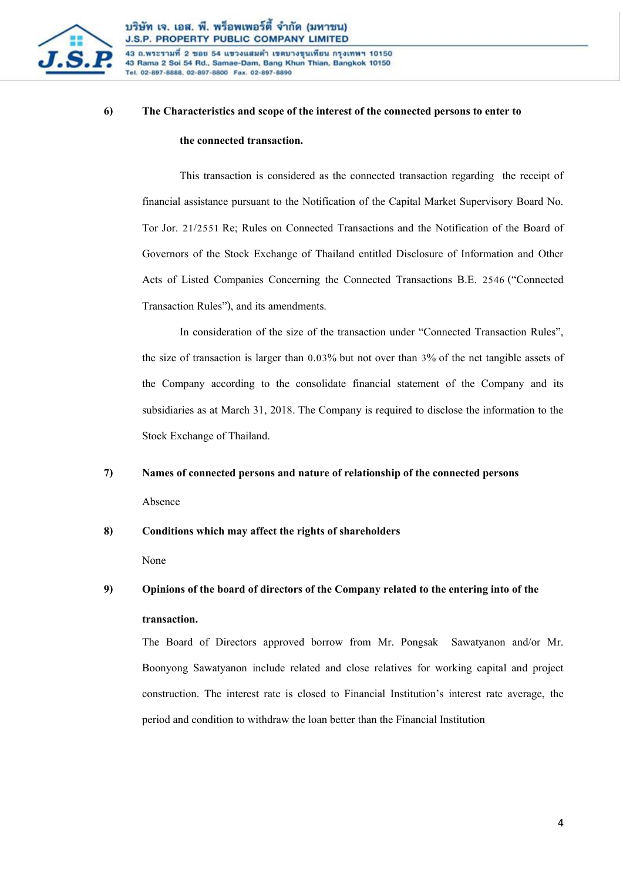

43 ถ.พระรามที่ 2 ขอย 54 แขวงแสมดำ เขตบางขุนเทียน กรุงเทพฯ 10150 43 Rama 2 Soi 54 Rd., Samae-Dam, Bang Khun Thian, Bangkok 10150 Tel. 02-897-8888, 02-897-8800 Fax. 02-897-8890

# **6) The Characteristics and scope of the interest of the connected persons to enter to the connected transaction.**

This transaction is considered as the connected transaction regarding the receipt of financial assistance pursuant to the Notification of the Capital Market Supervisory Board No. Tor Jor. 21/2551 Re; Rules on Connected Transactions and the Notification of the Board of Governors of the Stock Exchange of Thailand entitled Disclosure of Information and Other Acts of Listed Companies Concerning the Connected Transactions B.E. 2546 ("Connected Transaction Rules"), and its amendments.

In consideration of the size of the transaction under "Connected Transaction Rules", the size of transaction is larger than 0.03% but not over than 3% of the net tangible assets of the Company according to the consolidate financial statement of the Company and its subsidiaries as at March 31, 2018. The Company is required to disclose the information to the Stock Exchange of Thailand.

#### **7) Names of connected persons and nature of relationship of the connected persons**

Absence

#### **8) Conditions which may affect the rights of shareholders**

None

# **9) Opinions of the board of directors of the Company related to the entering into of the transaction.**

The Board of Directors approved borrow from Mr. Pongsak Sawatyanon and/or Mr. Boonyong Sawatyanon include related and close relatives for working capital and project construction. The interest rate is closed to Financial Institution's interest rate average, the period and condition to withdraw the loan better than the Financial Institution